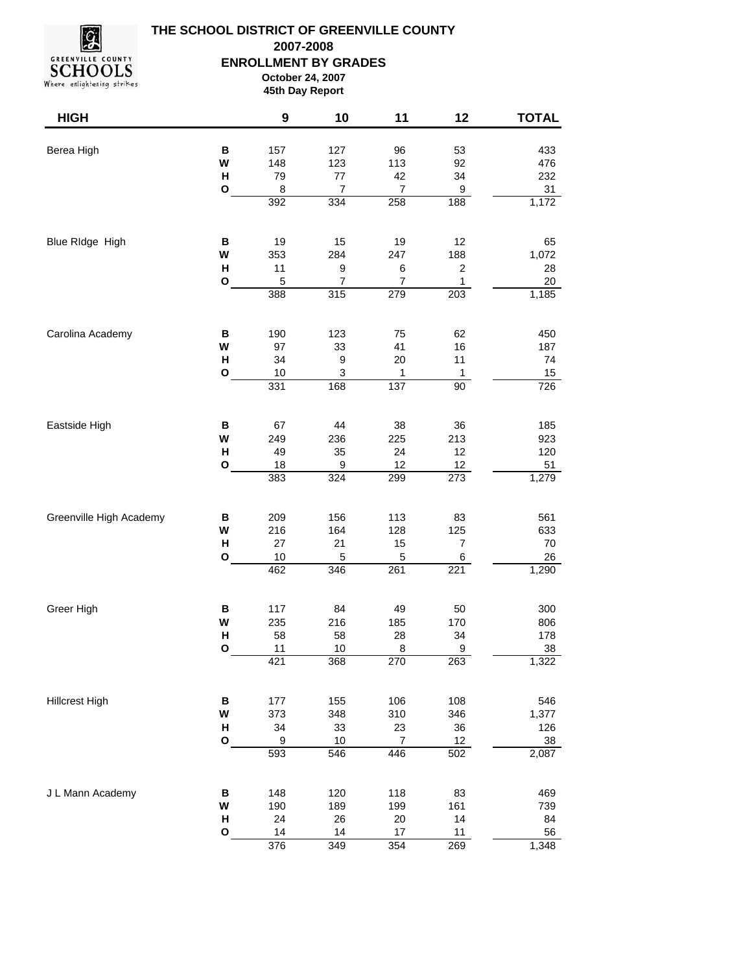

## **THE SCHOOL DISTRICT OF GREENVILLE COUNTY ENROLLMENT BY GRADES October 24, 2007 45th Day Report 2007-2008**

| <b>HIGH</b>             |              | 9         | 10                        | 11                 | 12             | <b>TOTAL</b> |
|-------------------------|--------------|-----------|---------------------------|--------------------|----------------|--------------|
| Berea High              | B            | 157       | 127                       | 96                 | 53             | 433          |
|                         | W            | 148       | 123                       | 113                | 92             | 476          |
|                         | Н            | 79        | $77 \,$                   | 42                 | 34             | 232          |
|                         | O            | 8         | $\boldsymbol{7}$          | $\boldsymbol{7}$   | 9              | 31           |
|                         |              | 392       | 334                       | 258                | 188            | 1,172        |
| Blue RIdge High         | В            | 19        | 15                        | 19                 | 12             | 65           |
|                         | W            | 353       | 284                       | 247                | 188            | 1,072        |
|                         | $\mathsf{H}$ | 11        | $\boldsymbol{9}$          | 6                  | $\mathbf 2$    | 28           |
|                         | O            | 5         | 7                         | $\boldsymbol{7}$   | 1              | $20\,$       |
|                         |              | 388       | 315                       | 279                | 203            | 1,185        |
| Carolina Academy        | В            | 190       | 123                       | 75                 | 62             | 450          |
|                         | W            | 97        | 33                        | 41                 | 16             | 187          |
|                         | $\mathsf{H}$ | 34        | 9                         | 20                 | 11             | 74           |
|                         | $\mathbf{o}$ | 10        | $\ensuremath{\mathsf{3}}$ | $\mathbf{1}$       | 1              | 15           |
|                         |              | 331       | 168                       | 137                | 90             | 726          |
| Eastside High           | B            | 67        | 44                        | 38                 | 36             | 185          |
|                         | W            | 249       | 236                       | 225                | 213            | 923          |
|                         | Н            | 49        | 35                        | 24                 | 12             | 120          |
|                         | O            | 18        | 9                         | 12                 | 12             | 51           |
|                         |              | 383       | 324                       | 299                | 273            | 1,279        |
| Greenville High Academy | В            | 209       | 156                       | 113                | 83             | 561          |
|                         | W            | 216       | 164                       | 128                | 125            | 633          |
|                         | $\mathsf{H}$ | 27        | 21                        | 15                 | $\overline{7}$ | 70           |
|                         | O            | 10<br>462 | $\mathbf 5$<br>346        | $\mathbf 5$<br>261 | 6<br>221       | 26<br>1,290  |
|                         |              |           |                           |                    |                |              |
| Greer High              | В            | 117       | 84                        | 49                 | 50             | 300          |
|                         | W<br>H       | 235<br>58 | 216<br>58                 | 185<br>28          | 170<br>34      | 806<br>178   |
|                         | $\mathbf{o}$ | 11        | 10                        | 8                  | 9              | 38           |
|                         |              | 421       | 368                       | 270                | 263            | 1,322        |
| <b>Hillcrest High</b>   | B            | 177       | 155                       | 106                | 108            | 546          |
|                         | W            | 373       | 348                       | 310                | 346            | 1,377        |
|                         | Н            | 34        | 33                        | 23                 | 36             | 126          |
|                         | O            | 9         | 10                        | $\boldsymbol{7}$   | 12             | 38           |
|                         |              | 593       | 546                       | 446                | 502            | 2,087        |
| J L Mann Academy        | В            | 148       | 120                       | 118                | 83             | 469          |
|                         | W            | 190       | 189                       | 199                | 161            | 739          |
|                         | н            | 24        | 26                        | 20                 | 14             | 84           |
|                         | O            | 14        | 14                        | 17                 | 11             | 56           |
|                         |              | 376       | $\overline{349}$          | 354                | 269            | 1,348        |